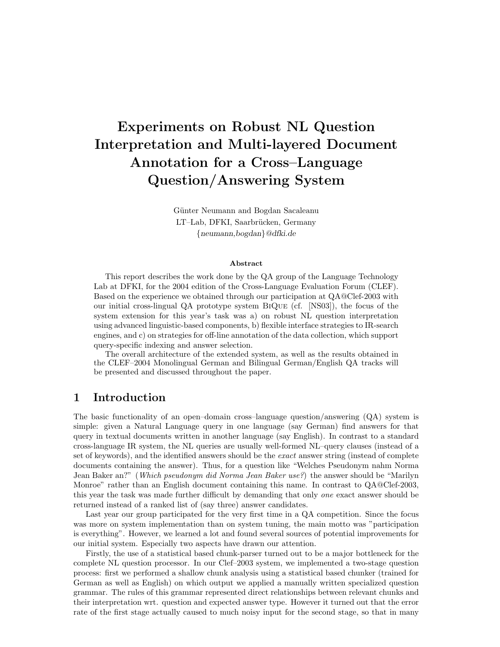# Experiments on Robust NL Question Interpretation and Multi-layered Document Annotation for a Cross–Language Question/Answering System

Günter Neumann and Bogdan Sacaleanu LT–Lab, DFKI, Saarbrücken, Germany {neumann,bogdan}@dfki.de

#### Abstract

This report describes the work done by the QA group of the Language Technology Lab at DFKI, for the 2004 edition of the Cross-Language Evaluation Forum (CLEF). Based on the experience we obtained through our participation at QA@Clef-2003 with our initial cross-lingual QA prototype system BiQue (cf. [NS03]), the focus of the system extension for this year's task was a) on robust NL question interpretation using advanced linguistic-based components, b) flexible interface strategies to IR-search engines, and c) on strategies for off-line annotation of the data collection, which support query-specific indexing and answer selection.

The overall architecture of the extended system, as well as the results obtained in the CLEF–2004 Monolingual German and Bilingual German/English QA tracks will be presented and discussed throughout the paper.

### 1 Introduction

The basic functionality of an open–domain cross–language question/answering (QA) system is simple: given a Natural Language query in one language (say German) find answers for that query in textual documents written in another language (say English). In contrast to a standard cross-language IR system, the NL queries are usually well-formed NL–query clauses (instead of a set of keywords), and the identified answers should be the *exact* answer string (instead of complete documents containing the answer). Thus, for a question like "Welches Pseudonym nahm Norma Jean Baker an?" (Which pseudonym did Norma Jean Baker use?) the answer should be "Marilyn Monroe" rather than an English document containing this name. In contrast to QA@Clef-2003, this year the task was made further difficult by demanding that only one exact answer should be returned instead of a ranked list of (say three) answer candidates.

Last year our group participated for the very first time in a QA competition. Since the focus was more on system implementation than on system tuning, the main motto was "participation is everything". However, we learned a lot and found several sources of potential improvements for our initial system. Especially two aspects have drawn our attention.

Firstly, the use of a statistical based chunk-parser turned out to be a major bottleneck for the complete NL question processor. In our Clef–2003 system, we implemented a two-stage question process: first we performed a shallow chunk analysis using a statistical based chunker (trained for German as well as English) on which output we applied a manually written specialized question grammar. The rules of this grammar represented direct relationships between relevant chunks and their interpretation wrt. question and expected answer type. However it turned out that the error rate of the first stage actually caused to much noisy input for the second stage, so that in many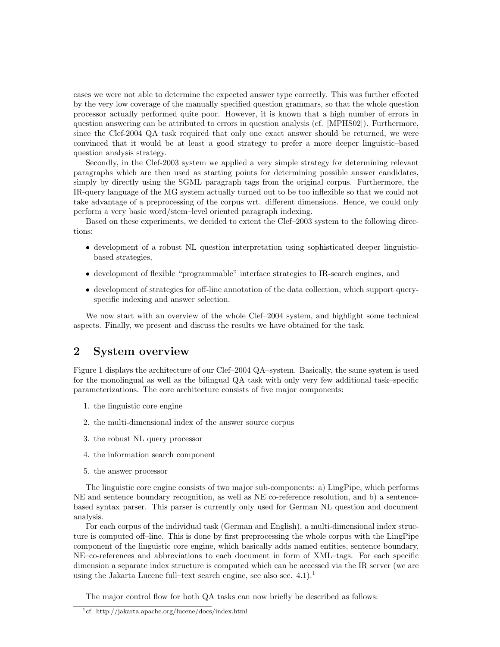cases we were not able to determine the expected answer type correctly. This was further effected by the very low coverage of the manually specified question grammars, so that the whole question processor actually performed quite poor. However, it is known that a high number of errors in question answering can be attributed to errors in question analysis (cf. [MPHS02]). Furthermore, since the Clef-2004 QA task required that only one exact answer should be returned, we were convinced that it would be at least a good strategy to prefer a more deeper linguistic–based question analysis strategy.

Secondly, in the Clef-2003 system we applied a very simple strategy for determining relevant paragraphs which are then used as starting points for determining possible answer candidates, simply by directly using the SGML paragraph tags from the original corpus. Furthermore, the IR-query language of the MG system actually turned out to be too inflexible so that we could not take advantage of a preprocessing of the corpus wrt. different dimensions. Hence, we could only perform a very basic word/stem–level oriented paragraph indexing.

Based on these experiments, we decided to extent the Clef–2003 system to the following directions:

- development of a robust NL question interpretation using sophisticated deeper linguisticbased strategies,
- development of flexible "programmable" interface strategies to IR-search engines, and
- development of strategies for off-line annotation of the data collection, which support queryspecific indexing and answer selection.

We now start with an overview of the whole Clef–2004 system, and highlight some technical aspects. Finally, we present and discuss the results we have obtained for the task.

## 2 System overview

Figure 1 displays the architecture of our Clef–2004 QA–system. Basically, the same system is used for the monolingual as well as the bilingual QA task with only very few additional task–specific parameterizations. The core architecture consists of five major components:

- 1. the linguistic core engine
- 2. the multi-dimensional index of the answer source corpus
- 3. the robust NL query processor
- 4. the information search component
- 5. the answer processor

The linguistic core engine consists of two major sub-components: a) LingPipe, which performs NE and sentence boundary recognition, as well as NE co-reference resolution, and b) a sentencebased syntax parser. This parser is currently only used for German NL question and document analysis.

For each corpus of the individual task (German and English), a multi-dimensional index structure is computed off–line. This is done by first preprocessing the whole corpus with the LingPipe component of the linguistic core engine, which basically adds named entities, sentence boundary, NE–co-references and abbreviations to each document in form of XML–tags. For each specific dimension a separate index structure is computed which can be accessed via the IR server (we are using the Jakarta Lucene full–text search engine, see also sec.  $4.1$ ).<sup>1</sup>

The major control flow for both QA tasks can now briefly be described as follows:

<sup>1</sup>cf. http://jakarta.apache.org/lucene/docs/index.html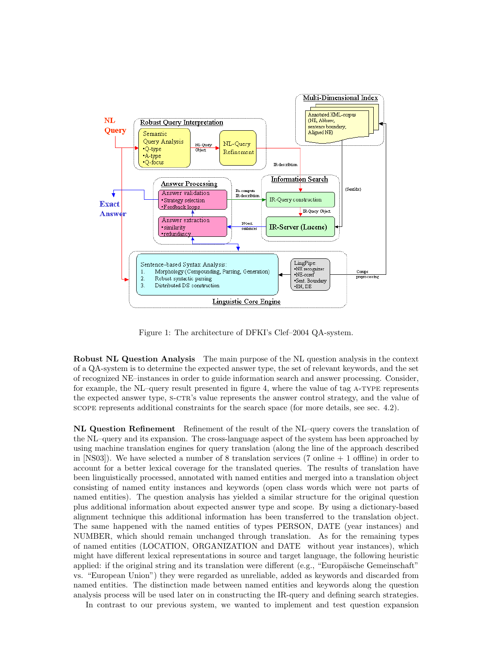

Figure 1: The architecture of DFKI's Clef–2004 QA-system.

Robust NL Question Analysis The main purpose of the NL question analysis in the context of a QA-system is to determine the expected answer type, the set of relevant keywords, and the set of recognized NE–instances in order to guide information search and answer processing. Consider, for example, the NL–query result presented in figure 4, where the value of tag A-TYPE represents the expected answer type, s-CTR's value represents the answer control strategy, and the value of scope represents additional constraints for the search space (for more details, see sec. 4.2).

NL Question Refinement Refinement of the result of the NL–query covers the translation of the NL–query and its expansion. The cross-language aspect of the system has been approached by using machine translation engines for query translation (along the line of the approach described in  $[NS03]$ . We have selected a number of 8 translation services (7 online  $+1$  offline) in order to account for a better lexical coverage for the translated queries. The results of translation have been linguistically processed, annotated with named entities and merged into a translation object consisting of named entity instances and keywords (open class words which were not parts of named entities). The question analysis has yielded a similar structure for the original question plus additional information about expected answer type and scope. By using a dictionary-based alignment technique this additional information has been transferred to the translation object. The same happened with the named entities of types PERSON, DATE (year instances) and NUMBER, which should remain unchanged through translation. As for the remaining types of named entities (LOCATION, ORGANIZATION and DATE without year instances), which might have different lexical representations in source and target language, the following heuristic applied: if the original string and its translation were different (e.g., "Europäische Gemeinschaft" vs. "European Union") they were regarded as unreliable, added as keywords and discarded from named entities. The distinction made between named entities and keywords along the question analysis process will be used later on in constructing the IR-query and defining search strategies.

In contrast to our previous system, we wanted to implement and test question expansion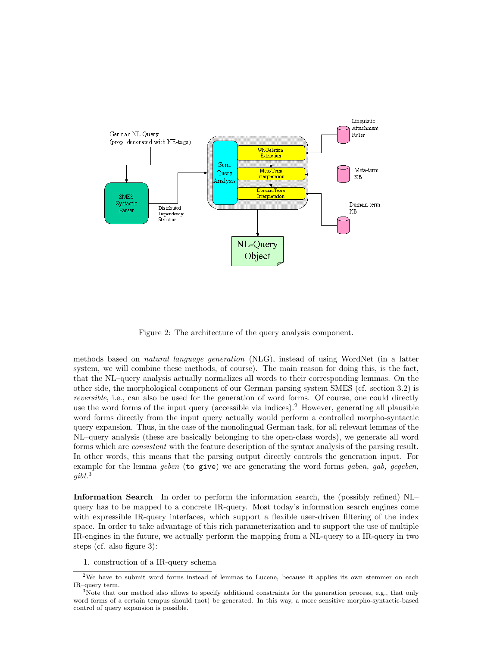

Figure 2: The architecture of the query analysis component.

methods based on natural language generation (NLG), instead of using WordNet (in a latter system, we will combine these methods, of course). The main reason for doing this, is the fact, that the NL–query analysis actually normalizes all words to their corresponding lemmas. On the other side, the morphological component of our German parsing system SMES (cf. section 3.2) is reversible, i.e., can also be used for the generation of word forms. Of course, one could directly use the word forms of the input query (accessible via indices).<sup>2</sup> However, generating all plausible word forms directly from the input query actually would perform a controlled morpho-syntactic query expansion. Thus, in the case of the monolingual German task, for all relevant lemmas of the NL–query analysis (these are basically belonging to the open-class words), we generate all word forms which are *consistent* with the feature description of the syntax analysis of the parsing result. In other words, this means that the parsing output directly controls the generation input. For example for the lemma geben (to give) we are generating the word forms gaben, gab, gegeben, gibt. 3

Information Search In order to perform the information search, the (possibly refined) NL– query has to be mapped to a concrete IR-query. Most today's information search engines come with expressible IR-query interfaces, which support a flexible user-driven filtering of the index space. In order to take advantage of this rich parameterization and to support the use of multiple IR-engines in the future, we actually perform the mapping from a NL-query to a IR-query in two steps (cf. also figure 3):

1. construction of a IR-query schema

<sup>2</sup>We have to submit word forms instead of lemmas to Lucene, because it applies its own stemmer on each IR–query term.

<sup>&</sup>lt;sup>3</sup>Note that our method also allows to specify additional constraints for the generation process, e.g., that only word forms of a certain tempus should (not) be generated. In this way, a more sensitive morpho-syntactic-based control of query expansion is possible.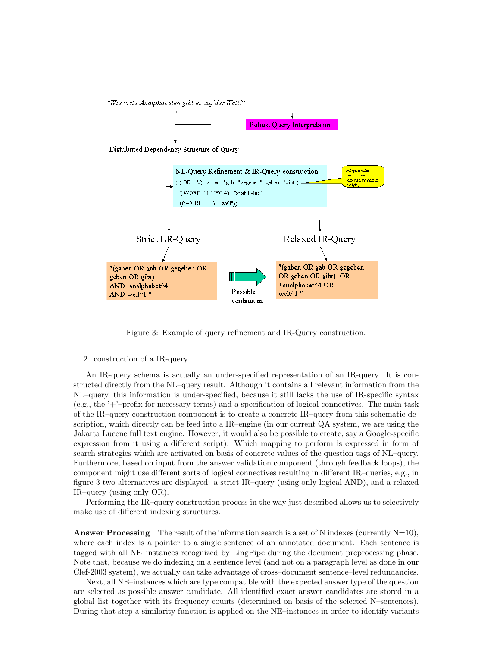

Figure 3: Example of query refinement and IR-Query construction.

#### 2. construction of a IR-query

An IR-query schema is actually an under-specified representation of an IR-query. It is constructed directly from the NL–query result. Although it contains all relevant information from the NL–query, this information is under-specified, because it still lacks the use of IR-specific syntax (e.g., the '+'–prefix for necessary terms) and a specification of logical connectives. The main task of the IR–query construction component is to create a concrete IR–query from this schematic description, which directly can be feed into a IR–engine (in our current QA system, we are using the Jakarta Lucene full text engine. However, it would also be possible to create, say a Google-specific expression from it using a different script). Which mapping to perform is expressed in form of search strategies which are activated on basis of concrete values of the question tags of NL–query. Furthermore, based on input from the answer validation component (through feedback loops), the component might use different sorts of logical connectives resulting in different IR–queries, e.g., in figure 3 two alternatives are displayed: a strict IR–query (using only logical AND), and a relaxed IR–query (using only OR).

Performing the IR–query construction process in the way just described allows us to selectively make use of different indexing structures.

**Answer Processing** The result of the information search is a set of N indexes (currently  $N=10$ ), where each index is a pointer to a single sentence of an annotated document. Each sentence is tagged with all NE–instances recognized by LingPipe during the document preprocessing phase. Note that, because we do indexing on a sentence level (and not on a paragraph level as done in our Clef-2003 system), we actually can take advantage of cross–document sentence–level redundancies.

Next, all NE–instances which are type compatible with the expected answer type of the question are selected as possible answer candidate. All identified exact answer candidates are stored in a global list together with its frequency counts (determined on basis of the selected N–sentences). During that step a similarity function is applied on the NE–instances in order to identify variants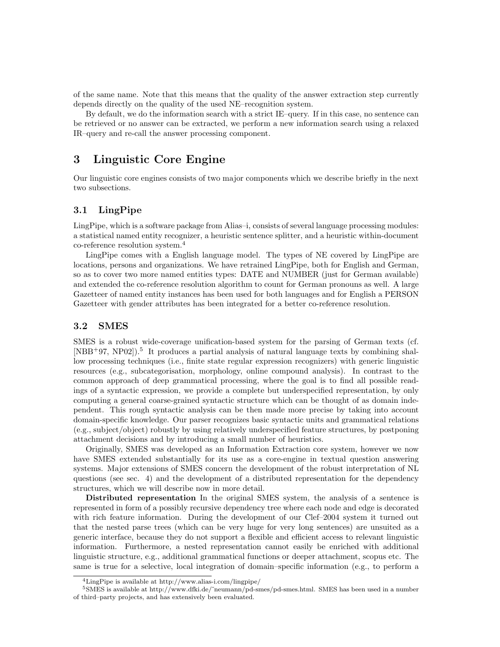of the same name. Note that this means that the quality of the answer extraction step currently depends directly on the quality of the used NE–recognition system.

By default, we do the information search with a strict IE–query. If in this case, no sentence can be retrieved or no answer can be extracted, we perform a new information search using a relaxed IR–query and re-call the answer processing component.

### 3 Linguistic Core Engine

Our linguistic core engines consists of two major components which we describe briefly in the next two subsections.

### 3.1 LingPipe

LingPipe, which is a software package from Alias–i, consists of several language processing modules: a statistical named entity recognizer, a heuristic sentence splitter, and a heuristic within-document co-reference resolution system.<sup>4</sup>

LingPipe comes with a English language model. The types of NE covered by LingPipe are locations, persons and organizations. We have retrained LingPipe, both for English and German, so as to cover two more named entities types: DATE and NUMBER (just for German available) and extended the co-reference resolution algorithm to count for German pronouns as well. A large Gazetteer of named entity instances has been used for both languages and for English a PERSON Gazetteer with gender attributes has been integrated for a better co-reference resolution.

#### 3.2 SMES

SMES is a robust wide-coverage unification-based system for the parsing of German texts (cf. [NBB<sup>+</sup>97, NP02]).<sup>5</sup> It produces a partial analysis of natural language texts by combining shallow processing techniques (i.e., finite state regular expression recognizers) with generic linguistic resources (e.g., subcategorisation, morphology, online compound analysis). In contrast to the common approach of deep grammatical processing, where the goal is to find all possible readings of a syntactic expression, we provide a complete but underspecified representation, by only computing a general coarse-grained syntactic structure which can be thought of as domain independent. This rough syntactic analysis can be then made more precise by taking into account domain-specific knowledge. Our parser recognizes basic syntactic units and grammatical relations (e.g., subject/object) robustly by using relatively underspecified feature structures, by postponing attachment decisions and by introducing a small number of heuristics.

Originally, SMES was developed as an Information Extraction core system, however we now have SMES extended substantially for its use as a core-engine in textual question answering systems. Major extensions of SMES concern the development of the robust interpretation of NL questions (see sec. 4) and the development of a distributed representation for the dependency structures, which we will describe now in more detail.

Distributed representation In the original SMES system, the analysis of a sentence is represented in form of a possibly recursive dependency tree where each node and edge is decorated with rich feature information. During the development of our Clef–2004 system it turned out that the nested parse trees (which can be very huge for very long sentences) are unsuited as a generic interface, because they do not support a flexible and efficient access to relevant linguistic information. Furthermore, a nested representation cannot easily be enriched with additional linguistic structure, e.g., additional grammatical functions or deeper attachment, scopus etc. The same is true for a selective, local integration of domain–specific information (e.g., to perform a

<sup>4</sup>LingPipe is available at http://www.alias-i.com/lingpipe/

<sup>5</sup>SMES is available at http://www.dfki.de/˜neumann/pd-smes/pd-smes.html. SMES has been used in a number of third–party projects, and has extensively been evaluated.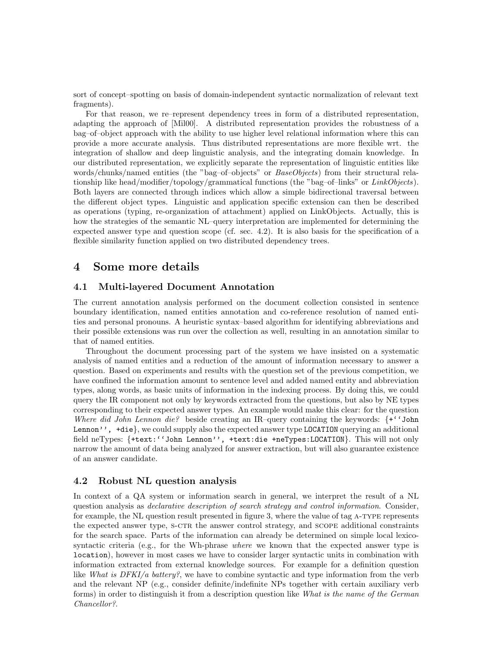sort of concept–spotting on basis of domain-independent syntactic normalization of relevant text fragments).

For that reason, we re–represent dependency trees in form of a distributed representation, adapting the approach of [Mil00]. A distributed representation provides the robustness of a bag–of–object approach with the ability to use higher level relational information where this can provide a more accurate analysis. Thus distributed representations are more flexible wrt. the integration of shallow and deep linguistic analysis, and the integrating domain knowledge. In our distributed representation, we explicitly separate the representation of linguistic entities like words/chunks/named entities (the "bag-of-objects" or *BaseObjects*) from their structural relationship like head/modifier/topology/grammatical functions (the "bag–of–links" or LinkObjects). Both layers are connected through indices which allow a simple bidirectional traversal between the different object types. Linguistic and application specific extension can then be described as operations (typing, re-organization of attachment) applied on LinkObjects. Actually, this is how the strategies of the semantic NL–query interpretation are implemented for determining the expected answer type and question scope (cf. sec. 4.2). It is also basis for the specification of a flexible similarity function applied on two distributed dependency trees.

### 4 Some more details

#### 4.1 Multi-layered Document Annotation

The current annotation analysis performed on the document collection consisted in sentence boundary identification, named entities annotation and co-reference resolution of named entities and personal pronouns. A heuristic syntax–based algorithm for identifying abbreviations and their possible extensions was run over the collection as well, resulting in an annotation similar to that of named entities.

Throughout the document processing part of the system we have insisted on a systematic analysis of named entities and a reduction of the amount of information necessary to answer a question. Based on experiments and results with the question set of the previous competition, we have confined the information amount to sentence level and added named entity and abbreviation types, along words, as basic units of information in the indexing process. By doing this, we could query the IR component not only by keywords extracted from the questions, but also by NE types corresponding to their expected answer types. An example would make this clear: for the question Where did John Lennon die? beside creating an IR-query containing the keywords: {+"John Lennon'',  $\dagger$  +die}, we could supply also the expected answer type LOCATION querying an additional field neTypes: {+text:''John Lennon'', +text:die +neTypes:LOCATION}. This will not only narrow the amount of data being analyzed for answer extraction, but will also guarantee existence of an answer candidate.

### 4.2 Robust NL question analysis

In context of a QA system or information search in general, we interpret the result of a NL question analysis as declarative description of search strategy and control information. Consider, for example, the NL question result presented in figure 3, where the value of tag A-TYPE represents the expected answer type, s-CTR the answer control strategy, and SCOPE additional constraints for the search space. Parts of the information can already be determined on simple local lexicosyntactic criteria (e.g., for the Wh-phrase *where* we known that the expected answer type is location), however in most cases we have to consider larger syntactic units in combination with information extracted from external knowledge sources. For example for a definition question like What is  $DFKI/a$  battery?, we have to combine syntactic and type information from the verb and the relevant NP (e.g., consider definite/indefinite NPs together with certain auxiliary verb forms) in order to distinguish it from a description question like What is the name of the German Chancellor?.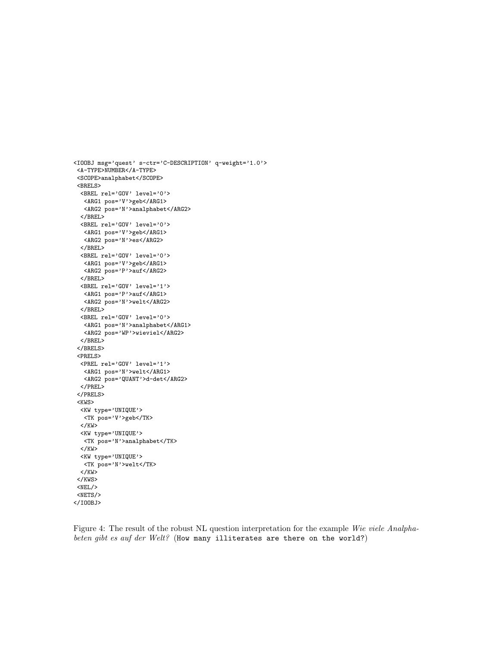```
<IOOBJ msg='quest' s-ctr='C-DESCRIPTION' q-weight='1.0'>
<A-TYPE>NUMBER</A-TYPE>
<SCOPE>analphabet</SCOPE>
<BRELS>
 <BREL rel='GOV' level='0'>
  <ARG1 pos='V'>geb</ARG1>
  <ARG2 pos='N'>analphabet</ARG2>
 </BREL>
 <BREL rel='GOV' level='0'>
  <ARG1 pos='V'>geb</ARG1>
  <ARG2 pos='N'>es</ARG2>
 </BREL>
 <BREL rel='GOV' level='0'>
  <ARG1 pos='V'>geb</ARG1>
  <ARG2 pos='P'>auf</ARG2>
 </BREL>
 <BREL rel='GOV' level='1'>
  <ARG1 pos='P'>auf</ARG1>
  <ARG2 pos='N'>welt</ARG2>
 </BREL>
 <BREL rel='GOV' level='0'>
  <ARG1 pos='N'>analphabet</ARG1>
  <ARG2 pos='WP'>wieviel</ARG2>
 </BREL>
</BRELS>
<PRELS>
 <PREL rel='GOV' level='1'>
  <ARG1 pos='N'>welt</ARG1>
  <ARG2 pos='QUANT'>d-det</ARG2>
 </PREL>
</PRELS>
<KWS>
 <KW type='UNIQUE'>
  <TK pos='V'>geb</TK>
 \langle/KW\rangle<KW type='UNIQUE'>
  <TK pos='N'>analphabet</TK>
 \langle/KW\rangle<KW type='UNIQUE'>
  <TK pos='N'>welt</TK>
 </KW></KWS>
<NEL/><NETS/>
</IOOBJ>
```
Figure 4: The result of the robust NL question interpretation for the example Wie viele Analphabeten gibt es auf der Welt? (How many illiterates are there on the world?)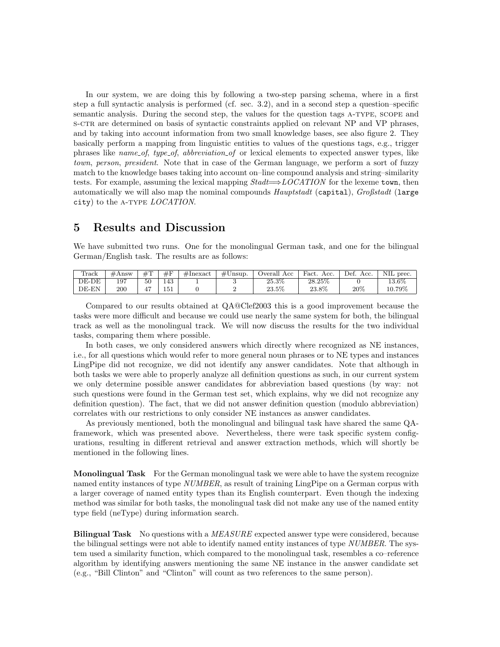In our system, we are doing this by following a two-step parsing schema, where in a first step a full syntactic analysis is performed (cf. sec. 3.2), and in a second step a question–specific semantic analysis. During the second step, the values for the question tags a-type, scope and s-CTR are determined on basis of syntactic constraints applied on relevant NP and VP phrases, and by taking into account information from two small knowledge bases, see also figure 2. They basically perform a mapping from linguistic entities to values of the questions tags, e.g., trigger phrases like *name of, type of, abbreviation of* or lexical elements to expected answer types, like town, person, president. Note that in case of the German language, we perform a sort of fuzzy match to the knowledge bases taking into account on–line compound analysis and string–similarity tests. For example, assuming the lexical mapping  $Stadt\rightleftharpoons LOGTION$  for the lexeme town, then automatically we will also map the nominal compounds  $Hauptstadt$  (capital),  $Großstadt$  (large city) to the A-TYPE *LOCATION*.

### 5 Results and Discussion

We have submitted two runs. One for the monolingual German task, and one for the bilingual German/English task. The results are as follows:

| Track   | $\#\text{Answ}$ | $\#\mathrm{T}$ | $\#F$ | $\#\text{Inexact}$ | $#$ Unsup. | Acc<br>Overall. | Fact.<br>Acc. | Def.<br>Acc. | NIL<br>prec. |
|---------|-----------------|----------------|-------|--------------------|------------|-----------------|---------------|--------------|--------------|
| $DE-DE$ | 197             | $_{50}$        | 143   |                    |            | 25.3%           | 28.25%        |              | $13.6\%$     |
| $DE-EN$ | 200             | 47             | 151   |                    |            | 23.5%           | 23.8%         | 20%          | 10.79%       |

Compared to our results obtained at QA@Clef2003 this is a good improvement because the tasks were more difficult and because we could use nearly the same system for both, the bilingual track as well as the monolingual track. We will now discuss the results for the two individual tasks, comparing them where possible.

In both cases, we only considered answers which directly where recognized as NE instances, i.e., for all questions which would refer to more general noun phrases or to NE types and instances LingPipe did not recognize, we did not identify any answer candidates. Note that although in both tasks we were able to properly analyze all definition questions as such, in our current system we only determine possible answer candidates for abbreviation based questions (by way: not such questions were found in the German test set, which explains, why we did not recognize any definition question). The fact, that we did not answer definition question (modulo abbreviation) correlates with our restrictions to only consider NE instances as answer candidates.

As previously mentioned, both the monolingual and bilingual task have shared the same QAframework, which was presented above. Nevertheless, there were task specific system configurations, resulting in different retrieval and answer extraction methods, which will shortly be mentioned in the following lines.

**Monolingual Task** For the German monolingual task we were able to have the system recognize named entity instances of type NUMBER, as result of training LingPipe on a German corpus with a larger coverage of named entity types than its English counterpart. Even though the indexing method was similar for both tasks, the monolingual task did not make any use of the named entity type field (neType) during information search.

**Bilingual Task** No questions with a *MEASURE* expected answer type were considered, because the bilingual settings were not able to identify named entity instances of type NUMBER. The system used a similarity function, which compared to the monolingual task, resembles a co–reference algorithm by identifying answers mentioning the same NE instance in the answer candidate set (e.g., "Bill Clinton" and "Clinton" will count as two references to the same person).